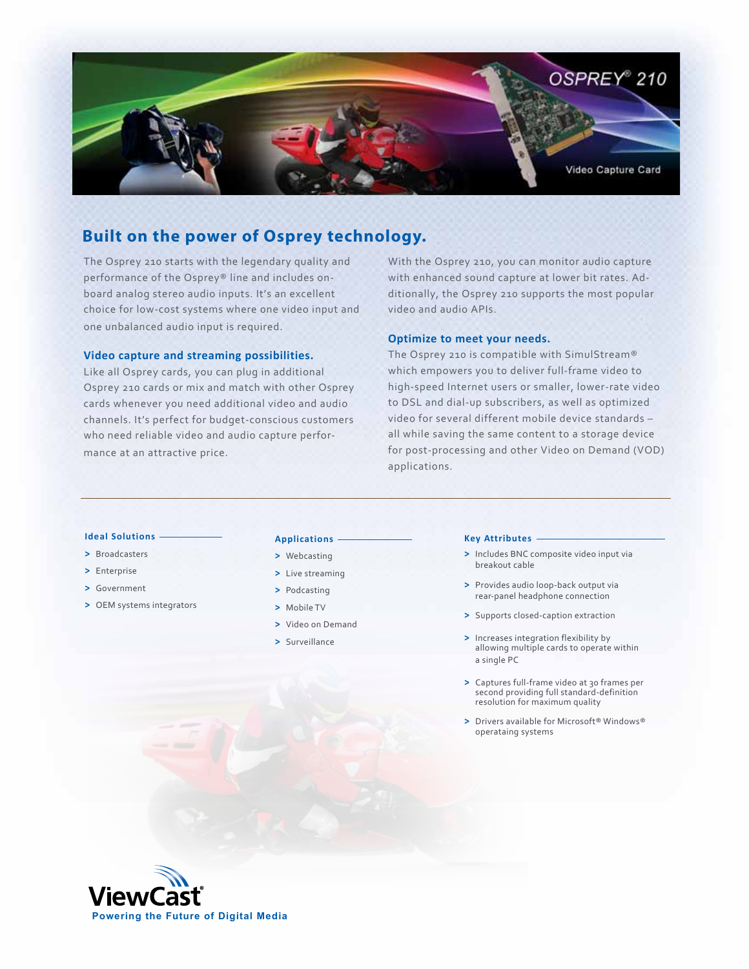

# **Built on the power of Osprey technology.**

The Osprey 210 starts with the legendary quality and performance of the Osprey® line and includes onboard analog stereo audio inputs. It's an excellent choice for low-cost systems where one video input and one unbalanced audio input is required.

# **Video capture and streaming possibilities.**

Like all Osprey cards, you can plug in additional Osprey 210 cards or mix and match with other Osprey cards whenever you need additional video and audio channels. It's perfect for budget-conscious customers who need reliable video and audio capture performance at an attractive price.

With the Osprey 210, you can monitor audio capture with enhanced sound capture at lower bit rates. Additionally, the Osprey 210 supports the most popular video and audio APIs.

# **Optimize to meet your needs.**

The Osprey 210 is compatible with SimulStream® which empowers you to deliver full-frame video to high-speed Internet users or smaller, lower-rate video to DSL and dial-up subscribers, as well as optimized video for several different mobile device standards – all while saving the same content to a storage device for post-processing and other Video on Demand (VOD) applications.

# **Ideal Solutions**

- **>** Broadcasters
- **>** Enterprise
- **>** Government
- **>** OEM systems integrators

#### **Applications**

- **>** Webcasting
- **>** Live streaming
- **>** Podcasting
- **>** Mobile TV
- **>** Video on Demand
- **>** Surveillance

#### **Key Attributes**

- **>** Includes BNC composite video input via breakout cable
- **>** Provides audio loop-back output via rear-panel headphone connection
- **>** Supports closed-caption extraction
- **>** Increases integration flexibility by allowing multiple cards to operate within a single PC
- **>** Captures full-frame video at 30 frames per second providing full standard-definition resolution for maximum quality
- **>** Drivers available for Microsoft® Windows® operataing systems